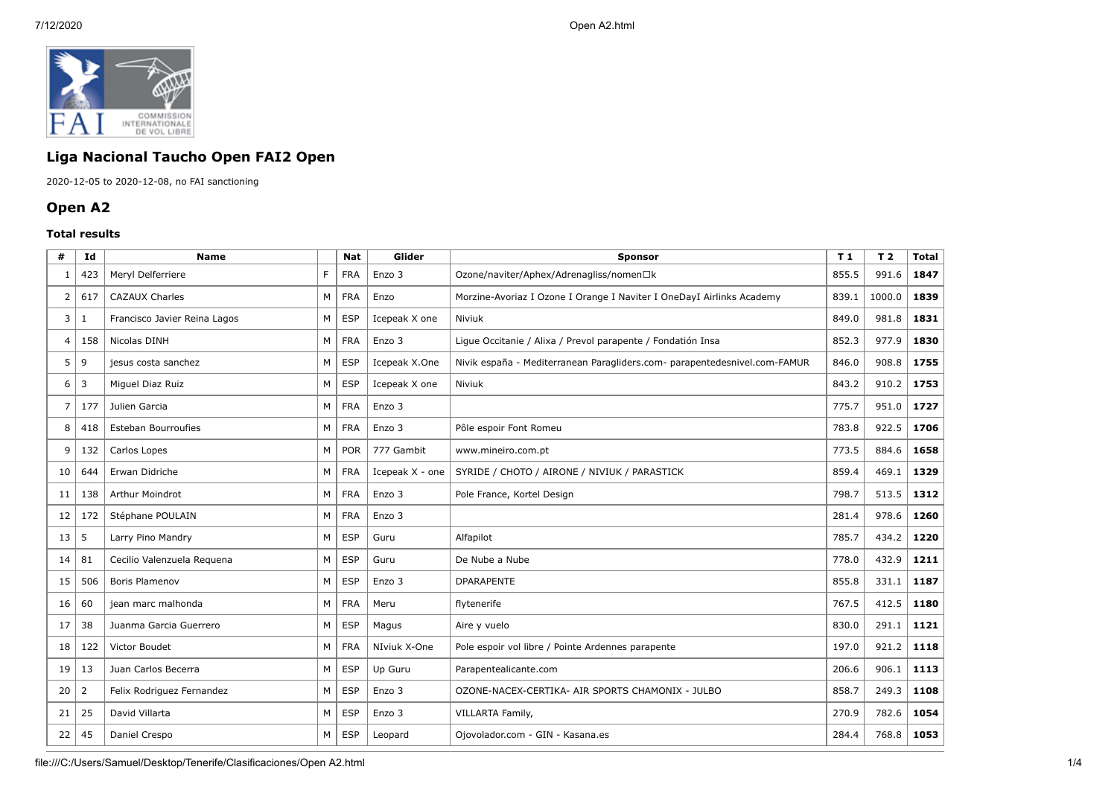

## **Liga Nacional Taucho Open FAI2 Open**

2020-12-05 to 2020-12-08, no FAI sanctioning

## **Open A2**

## **Total results**

| #  | Id  | <b>Name</b>                  |    | Nat        | Glider          | <b>Sponsor</b>                                                            |       | T 2    | <b>Total</b> |
|----|-----|------------------------------|----|------------|-----------------|---------------------------------------------------------------------------|-------|--------|--------------|
| 1  | 423 | Meryl Delferriere            | F. | <b>FRA</b> | Enzo 3          | Ozone/naviter/Aphex/Adrenagliss/nomen□k                                   |       | 991.6  | 1847         |
| 2  | 617 | <b>CAZAUX Charles</b>        | M  | <b>FRA</b> | Enzo            | Morzine-Avoriaz I Ozone I Orange I Naviter I OneDayI Airlinks Academy     |       | 1000.0 | 1839         |
| 3  | 1   | Francisco Javier Reina Lagos | М  | <b>ESP</b> | Icepeak X one   | Niviuk                                                                    | 849.0 | 981.8  | 1831         |
| 4  | 158 | Nicolas DINH                 | M  | <b>FRA</b> | Enzo 3          | Ligue Occitanie / Alixa / Prevol parapente / Fondatión Insa               | 852.3 | 977.9  | 1830         |
| 5  | 9   | jesus costa sanchez          | M  | <b>ESP</b> | Icepeak X.One   | Nivik españa - Mediterranean Paragliders.com- parapentedesnivel.com-FAMUR | 846.0 | 908.8  | 1755         |
| 6  | 3   | Miguel Diaz Ruiz             | M  | <b>ESP</b> | Icepeak X one   | Niviuk                                                                    | 843.2 | 910.2  | 1753         |
| 7  | 177 | Julien Garcia                | M  | <b>FRA</b> | Enzo 3          |                                                                           | 775.7 | 951.0  | 1727         |
| 8  | 418 | <b>Esteban Bourroufies</b>   | M  | <b>FRA</b> | Enzo 3          | Pôle espoir Font Romeu                                                    | 783.8 | 922.5  | 1706         |
| 9  | 132 | Carlos Lopes                 | M  | POR        | 777 Gambit      | www.mineiro.com.pt                                                        |       | 884.6  | 1658         |
| 10 | 644 | Erwan Didriche               | M  | <b>FRA</b> | Icepeak X - one | SYRIDE / CHOTO / AIRONE / NIVIUK / PARASTICK                              |       | 469.1  | 1329         |
| 11 | 138 | Arthur Moindrot              | M  | <b>FRA</b> | Enzo 3          | Pole France, Kortel Design                                                |       | 513.5  | 1312         |
| 12 | 172 | Stéphane POULAIN             | M  | <b>FRA</b> | Enzo 3          |                                                                           |       | 978.6  | 1260         |
| 13 | 5   | Larry Pino Mandry            | M  | <b>ESP</b> | Guru            | Alfapilot                                                                 |       | 434.2  | 1220         |
| 14 | 81  | Cecilio Valenzuela Requena   | M  | <b>ESP</b> | Guru            | De Nube a Nube                                                            |       | 432.9  | 1211         |
| 15 | 506 | Boris Plamenov               | M  | <b>ESP</b> | Enzo 3          | <b>DPARAPENTE</b>                                                         | 855.8 | 331.1  | 1187         |
| 16 | 60  | jean marc malhonda           | М  | <b>FRA</b> | Meru            | flytenerife                                                               | 767.5 | 412.5  | 1180         |
| 17 | 38  | Juanma Garcia Guerrero       | M  | <b>ESP</b> | Magus           | Aire y vuelo                                                              |       | 291.1  | 1121         |
| 18 | 122 | Victor Boudet                | М  | <b>FRA</b> | NIviuk X-One    | Pole espoir vol libre / Pointe Ardennes parapente                         |       | 921.2  | 1118         |
| 19 | 13  | Juan Carlos Becerra          | M  | <b>ESP</b> | Up Guru         | Parapentealicante.com                                                     |       | 906.1  | 1113         |
| 20 | 2   | Felix Rodriguez Fernandez    | M  | <b>ESP</b> | Enzo 3          | OZONE-NACEX-CERTIKA- AIR SPORTS CHAMONIX - JULBO                          |       | 249.3  | 1108         |
| 21 | 25  | David Villarta               | М  | <b>ESP</b> | Enzo 3          | VILLARTA Family,                                                          |       | 782.6  | 1054         |
| 22 | 45  | Daniel Crespo                | М  | <b>ESP</b> | Leopard         | Ojovolador.com - GIN - Kasana.es                                          |       | 768.8  | 1053         |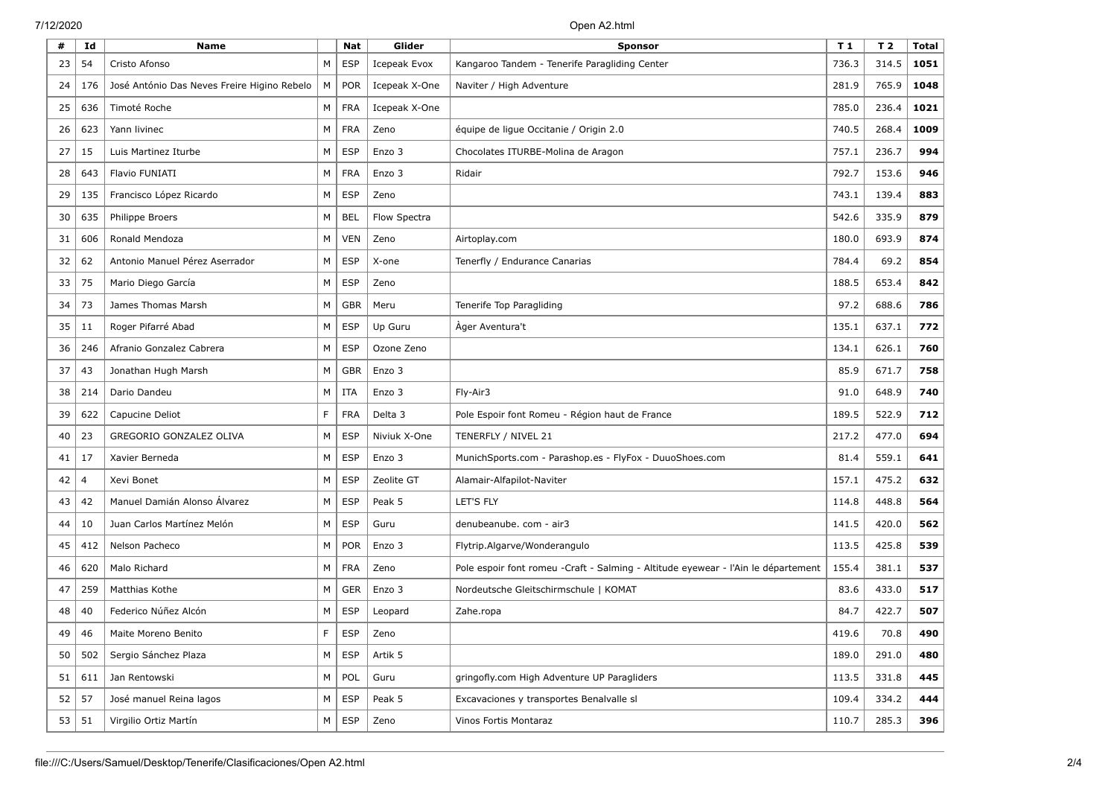| #               | Id             | Name                                        |    | <b>Nat</b> | Glider              | <b>Sponsor</b>                                                                     |       | T 2   | <b>Total</b> |
|-----------------|----------------|---------------------------------------------|----|------------|---------------------|------------------------------------------------------------------------------------|-------|-------|--------------|
| 23              | 54             | Cristo Afonso                               | M  | <b>ESP</b> | <b>Icepeak Evox</b> | Kangaroo Tandem - Tenerife Paragliding Center                                      |       | 314.5 | 1051         |
| 24              | 176            | José António Das Neves Freire Higino Rebelo | М  | <b>POR</b> | Icepeak X-One       | Naviter / High Adventure                                                           |       | 765.9 | 1048         |
| 25              | 636            | Timoté Roche                                | М  | <b>FRA</b> | Icepeak X-One       |                                                                                    | 785.0 | 236.4 | 1021         |
| 26              | 623            | Yann livinec                                | М  | <b>FRA</b> | Zeno                | équipe de ligue Occitanie / Origin 2.0                                             | 740.5 | 268.4 | 1009         |
| 27              | 15             | Luis Martinez Iturbe                        | М  | <b>ESP</b> | Enzo 3              | Chocolates ITURBE-Molina de Aragon                                                 | 757.1 | 236.7 | 994          |
| 28              | 643            | Flavio FUNIATI                              | М  | <b>FRA</b> | Enzo 3              | Ridair                                                                             | 792.7 | 153.6 | 946          |
| 29              | 135            | Francisco López Ricardo                     | М  | <b>ESP</b> | Zeno                |                                                                                    | 743.1 | 139.4 | 883          |
| 30              | 635            | <b>Philippe Broers</b>                      | М  | <b>BEL</b> | Flow Spectra        |                                                                                    | 542.6 | 335.9 | 879          |
| 31              | 606            | Ronald Mendoza                              | М  | <b>VEN</b> | Zeno                | Airtoplay.com                                                                      | 180.0 | 693.9 | 874          |
| 32              | 62             | Antonio Manuel Pérez Aserrador              | М  | <b>ESP</b> | X-one               | Tenerfly / Endurance Canarias                                                      | 784.4 | 69.2  | 854          |
| 33              | 75             | Mario Diego García                          | М  | <b>ESP</b> | Zeno                |                                                                                    | 188.5 | 653.4 | 842          |
| 34              | 73             | James Thomas Marsh                          | М  | <b>GBR</b> | Meru                | Tenerife Top Paragliding                                                           | 97.2  | 688.6 | 786          |
| 35              | 11             | Roger Pifarré Abad                          | М  | <b>ESP</b> | Up Guru             | Àger Aventura't                                                                    | 135.1 | 637.1 | 772          |
| 36              | 246            | Afranio Gonzalez Cabrera                    | М  | <b>ESP</b> | Ozone Zeno          |                                                                                    |       | 626.1 | 760          |
| 37              | 43             | Jonathan Hugh Marsh                         | М  | <b>GBR</b> | Enzo 3              |                                                                                    |       | 671.7 | 758          |
| 38              | 214            | Dario Dandeu                                | М  | <b>ITA</b> | Enzo 3              | Fly-Air3                                                                           |       | 648.9 | 740          |
| 39              | 622            | Capucine Deliot                             | F. | <b>FRA</b> | Delta 3             | Pole Espoir font Romeu - Région haut de France                                     |       | 522.9 | 712          |
| 40              | 23             | GREGORIO GONZALEZ OLIVA                     | М  | <b>ESP</b> | Niviuk X-One        | TENERFLY / NIVEL 21                                                                |       | 477.0 | 694          |
| 41              | 17             | Xavier Berneda                              | М  | <b>ESP</b> | Enzo 3              | MunichSports.com - Parashop.es - FlyFox - DuuoShoes.com                            |       | 559.1 | 641          |
| 42              | $\overline{4}$ | Xevi Bonet                                  | М  | <b>ESP</b> | Zeolite GT          | Alamair-Alfapilot-Naviter                                                          | 157.1 | 475.2 | 632          |
| 43              | 42             | Manuel Damián Alonso Álvarez                | М  | <b>ESP</b> | Peak 5              | LET'S FLY                                                                          | 114.8 | 448.8 | 564          |
| 44              | 10             | Juan Carlos Martínez Melón                  | М  | <b>ESP</b> | Guru                | denubeanube. com - air3                                                            | 141.5 | 420.0 | 562          |
| 45              | 412            | Nelson Pacheco                              | М  | <b>POR</b> | Enzo 3              | Flytrip.Algarve/Wonderangulo                                                       | 113.5 | 425.8 | 539          |
| 46              | 620            | Malo Richard                                | М  | <b>FRA</b> | Zeno                | Pole espoir font romeu - Craft - Salming - Altitude eyewear - l'Ain le département | 155.4 | 381.1 | 537          |
| 47              | 259            | Matthias Kothe                              | М  | <b>GER</b> | Enzo 3              | Nordeutsche Gleitschirmschule   KOMAT                                              | 83.6  | 433.0 | 517          |
| 48              | 40             | Federico Núñez Alcón                        | М  | <b>ESP</b> | Leopard             | Zahe.ropa                                                                          | 84.7  | 422.7 | 507          |
| 49              | 46             | Maite Moreno Benito                         | F  | ESP        | Zeno                |                                                                                    | 419.6 | 70.8  | 490          |
| 50 <sub>1</sub> | 502            | Sergio Sánchez Plaza                        | М  | <b>ESP</b> | Artik 5             |                                                                                    | 189.0 | 291.0 | 480          |
| $51 \mid$       | 611            | Jan Rentowski                               | М  | POL        | Guru                | gringofly.com High Adventure UP Paragliders                                        | 113.5 | 331.8 | 445          |
| 52              | 57             | José manuel Reina lagos                     | М  | <b>ESP</b> | Peak 5              | Excavaciones y transportes Benalvalle sl                                           |       | 334.2 | 444          |
| 53              | 51             | Virgilio Ortiz Martín                       | М  | <b>ESP</b> | Zeno                | Vinos Fortis Montaraz                                                              | 110.7 | 285.3 | 396          |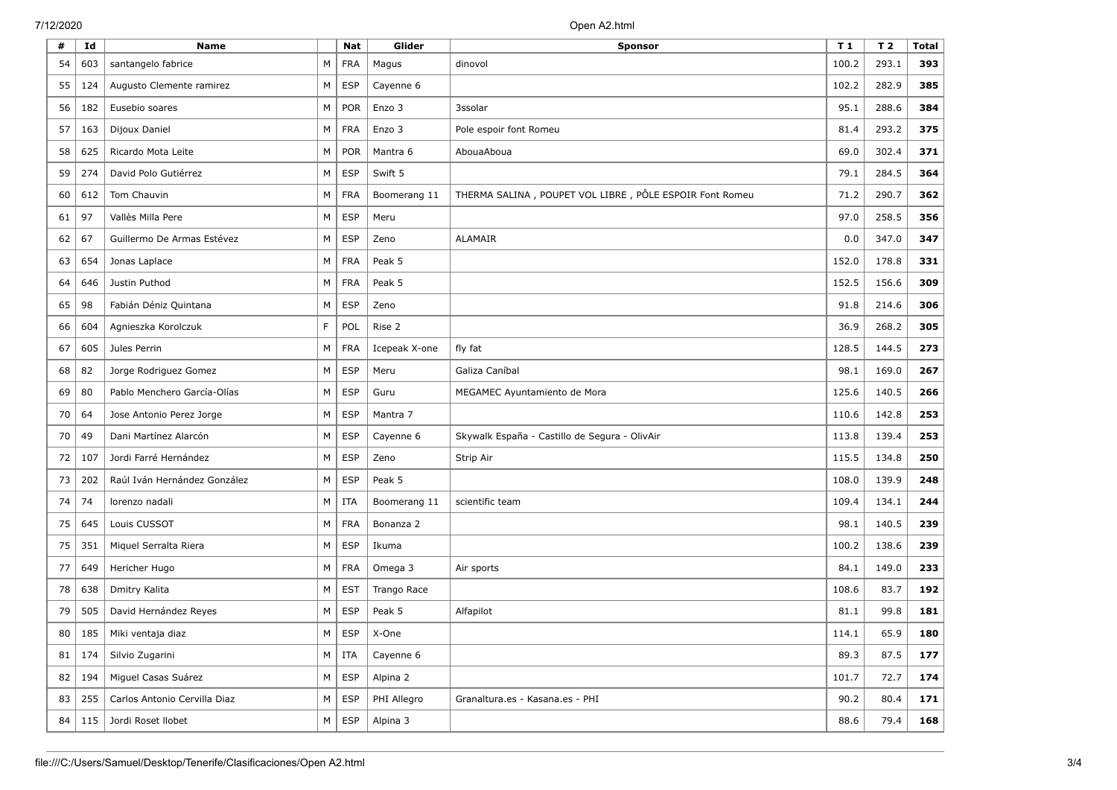| #  | Id            | <b>Name</b>                  |   | <b>Nat</b> | Glider        | Sponsor                                                 |       | T <sub>2</sub> | <b>Total</b> |
|----|---------------|------------------------------|---|------------|---------------|---------------------------------------------------------|-------|----------------|--------------|
| 54 | 603           | santangelo fabrice           | М | <b>FRA</b> | Magus         | dinovol                                                 |       | 293.1          | 393          |
| 55 | 124           | Augusto Clemente ramirez     | М | <b>ESP</b> | Cayenne 6     |                                                         |       | 282.9          | 385          |
| 56 | 182           | Eusebio soares               | М | <b>POR</b> | Enzo 3        | 3ssolar                                                 | 95.1  | 288.6          | 384          |
| 57 | 163           | Dijoux Daniel                | M | <b>FRA</b> | Enzo 3        | Pole espoir font Romeu                                  | 81.4  | 293.2          | 375          |
| 58 | 625           | Ricardo Mota Leite           | M | <b>POR</b> | Mantra 6      | AbouaAboua                                              | 69.0  | 302.4          | 371          |
| 59 | 274           | David Polo Gutiérrez         | М | <b>ESP</b> | Swift 5       |                                                         | 79.1  | 284.5          | 364          |
| 60 | 612           | Tom Chauvin                  | M | <b>FRA</b> | Boomerang 11  | THERMA SALINA, POUPET VOL LIBRE, PÔLE ESPOIR Font Romeu | 71.2  | 290.7          | 362          |
| 61 | 97            | Vallès Milla Pere            | M | <b>ESP</b> | Meru          |                                                         | 97.0  | 258.5          | 356          |
| 62 | 67            | Guillermo De Armas Estévez   | М | <b>ESP</b> | Zeno          | <b>ALAMAIR</b>                                          | 0.0   | 347.0          | 347          |
| 63 | 654           | Jonas Laplace                | M | <b>FRA</b> | Peak 5        |                                                         | 152.0 | 178.8          | 331          |
| 64 | 646           | Justin Puthod                | М | <b>FRA</b> | Peak 5        |                                                         | 152.5 | 156.6          | 309          |
| 65 | 98            | Fabián Déniz Quintana        | M | <b>ESP</b> | Zeno          |                                                         | 91.8  | 214.6          | 306          |
| 66 | 604           | Agnieszka Korolczuk          | F | POL        | Rise 2        |                                                         |       | 268.2          | 305          |
| 67 | 605           | Jules Perrin                 | М | <b>FRA</b> | Icepeak X-one | fly fat                                                 |       | 144.5          | 273          |
| 68 | 82            | Jorge Rodriguez Gomez        | M | <b>ESP</b> | Meru          | Galiza Caníbal                                          |       | 169.0          | 267          |
| 69 | 80            | Pablo Menchero García-Olías  | M | <b>ESP</b> | Guru          | MEGAMEC Ayuntamiento de Mora                            |       | 140.5          | 266          |
| 70 | 64            | Jose Antonio Perez Jorge     | M | <b>ESP</b> | Mantra 7      |                                                         |       | 142.8          | 253          |
| 70 | 49            | Dani Martínez Alarcón        | M | <b>ESP</b> | Cayenne 6     | Skywalk España - Castillo de Segura - OlivAir           |       | 139.4          | 253          |
| 72 | 107           | Jordi Farré Hernández        | М | <b>ESP</b> | Zeno          | Strip Air                                               |       | 134.8          | 250          |
| 73 | 202           | Raúl Iván Hernández González | M | <b>ESP</b> | Peak 5        |                                                         | 108.0 | 139.9          | 248          |
| 74 | 74            | lorenzo nadali               | M | <b>ITA</b> | Boomerang 11  | scientific team                                         | 109.4 | 134.1          | 244          |
| 75 | 645           | Louis CUSSOT                 | M | <b>FRA</b> | Bonanza 2     |                                                         | 98.1  | 140.5          | 239          |
| 75 | 351           | Miquel Serralta Riera        | M | <b>ESP</b> | Ikuma         |                                                         | 100.2 | 138.6          | 239          |
| 77 | 649           | Hericher Hugo                | M | <b>FRA</b> | Omega 3       | Air sports                                              |       | 149.0          | 233          |
| 78 | 638           | Dmitry Kalita                | М | <b>EST</b> | Trango Race   |                                                         |       | 83.7           | 192          |
| 79 | 505           | David Hernández Reyes        | M | <b>ESP</b> | Peak 5        | Alfapilot                                               | 81.1  | 99.8           | 181          |
| 80 |               | 185   Miki ventaja diaz      | M | ESP        | X-One         |                                                         | 114.1 | 65.9           | 180          |
|    | $81 \mid 174$ | Silvio Zugarini              | M | ITA        | Cayenne 6     |                                                         | 89.3  | 87.5           | 177          |
|    | $82 \mid 194$ | Miguel Casas Suárez          | M | <b>ESP</b> | Alpina 2      |                                                         | 101.7 | 72.7           | 174          |
| 83 | 255           | Carlos Antonio Cervilla Diaz | M | <b>ESP</b> | PHI Allegro   | Granaltura.es - Kasana.es - PHI                         | 90.2  | 80.4           | 171          |
|    | $84$   115    | Jordi Roset Ilobet           | M | <b>ESP</b> | Alpina 3      |                                                         | 88.6  | 79.4           | 168          |